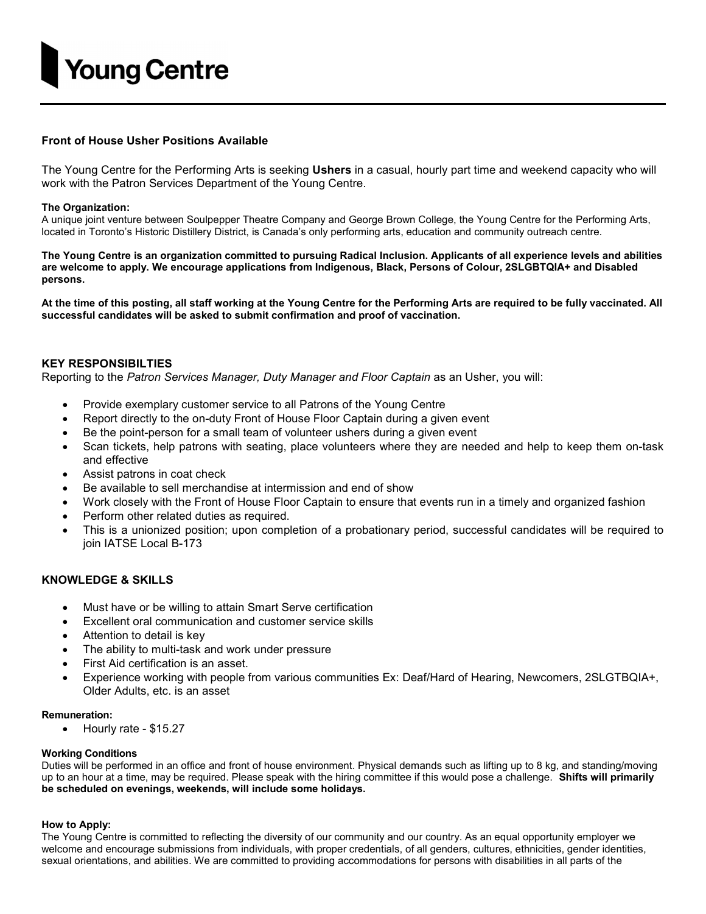

## Front of House Usher Positions Available

The Young Centre for the Performing Arts is seeking Ushers in a casual, hourly part time and weekend capacity who will work with the Patron Services Department of the Young Centre.

### The Organization:

A unique joint venture between Soulpepper Theatre Company and George Brown College, the Young Centre for the Performing Arts, located in Toronto's Historic Distillery District, is Canada's only performing arts, education and community outreach centre.

The Young Centre is an organization committed to pursuing Radical Inclusion. Applicants of all experience levels and abilities are welcome to apply. We encourage applications from Indigenous, Black, Persons of Colour, 2SLGBTQIA+ and Disabled persons.

At the time of this posting, all staff working at the Young Centre for the Performing Arts are required to be fully vaccinated. All successful candidates will be asked to submit confirmation and proof of vaccination.

### KEY RESPONSIBILTIES

Reporting to the Patron Services Manager, Duty Manager and Floor Captain as an Usher, you will:

- Provide exemplary customer service to all Patrons of the Young Centre
- Report directly to the on-duty Front of House Floor Captain during a given event
- Be the point-person for a small team of volunteer ushers during a given event
- Scan tickets, help patrons with seating, place volunteers where they are needed and help to keep them on-task and effective
- Assist patrons in coat check
- Be available to sell merchandise at intermission and end of show
- Work closely with the Front of House Floor Captain to ensure that events run in a timely and organized fashion
- Perform other related duties as required.
- This is a unionized position; upon completion of a probationary period, successful candidates will be required to join IATSE Local B-173

# KNOWLEDGE & SKILLS

- Must have or be willing to attain Smart Serve certification
- Excellent oral communication and customer service skills
- Attention to detail is key
- The ability to multi-task and work under pressure
- First Aid certification is an asset.
- Experience working with people from various communities Ex: Deaf/Hard of Hearing, Newcomers, 2SLGTBQIA+, Older Adults, etc. is an asset

### Remuneration:

Hourly rate - \$15.27

### Working Conditions

Duties will be performed in an office and front of house environment. Physical demands such as lifting up to 8 kg, and standing/moving up to an hour at a time, may be required. Please speak with the hiring committee if this would pose a challenge. Shifts will primarily be scheduled on evenings, weekends, will include some holidays.

### How to Apply:

The Young Centre is committed to reflecting the diversity of our community and our country. As an equal opportunity employer we welcome and encourage submissions from individuals, with proper credentials, of all genders, cultures, ethnicities, gender identities, sexual orientations, and abilities. We are committed to providing accommodations for persons with disabilities in all parts of the